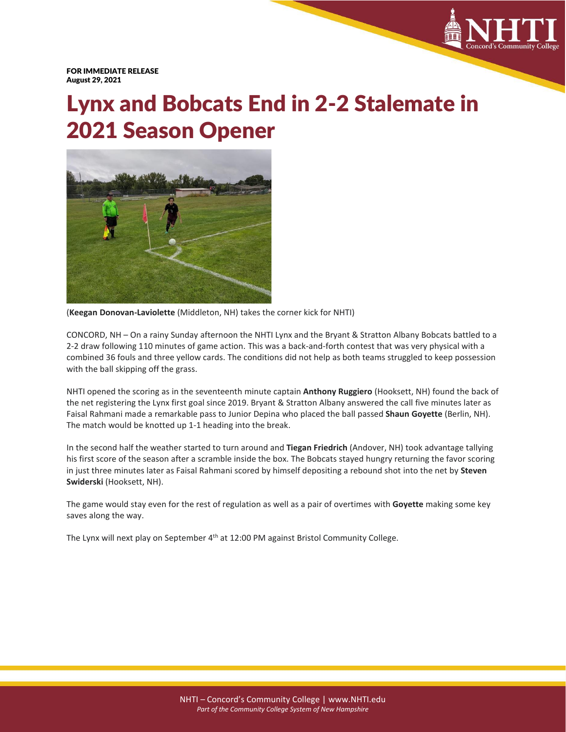

FOR IMMEDIATE RELEASE August 29, 2021

## Lynx and Bobcats End in 2-2 Stalemate in 2021 Season Opener



(**Keegan Donovan-Laviolette** (Middleton, NH) takes the corner kick for NHTI)

CONCORD, NH – On a rainy Sunday afternoon the NHTI Lynx and the Bryant & Stratton Albany Bobcats battled to a 2-2 draw following 110 minutes of game action. This was a back-and-forth contest that was very physical with a combined 36 fouls and three yellow cards. The conditions did not help as both teams struggled to keep possession with the ball skipping off the grass.

NHTI opened the scoring as in the seventeenth minute captain **Anthony Ruggiero** (Hooksett, NH) found the back of the net registering the Lynx first goal since 2019. Bryant & Stratton Albany answered the call five minutes later as Faisal Rahmani made a remarkable pass to Junior Depina who placed the ball passed **Shaun Goyette** (Berlin, NH). The match would be knotted up 1-1 heading into the break.

In the second half the weather started to turn around and **Tiegan Friedrich** (Andover, NH) took advantage tallying his first score of the season after a scramble inside the box. The Bobcats stayed hungry returning the favor scoring in just three minutes later as Faisal Rahmani scored by himself depositing a rebound shot into the net by **Steven Swiderski** (Hooksett, NH).

The game would stay even for the rest of regulation as well as a pair of overtimes with **Goyette** making some key saves along the way.

The Lynx will next play on September 4<sup>th</sup> at 12:00 PM against Bristol Community College.